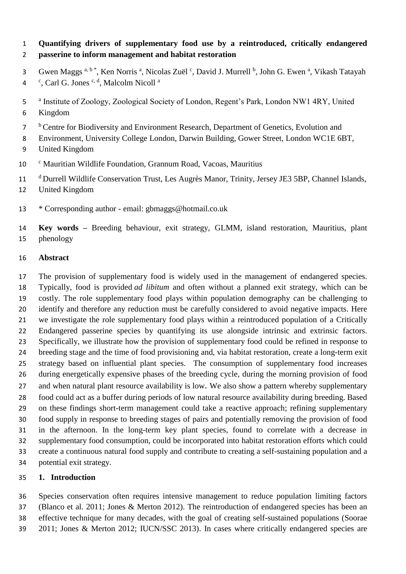## **Quantifying drivers of supplementary food use by a reintroduced, critically endangered passerine to inform management and habitat restoration**

- 3 Gwen Maggs<sup>a, b\*</sup>, Ken Norris<sup>a</sup>, Nicolas Zuël<sup>c</sup>, David J. Murrell <sup>b</sup>, John G. Ewen<sup>a</sup>, Vikash Tatayah <sup>c</sup>, Carl G. Jones <sup>c, d</sup>, Malcolm Nicoll<sup>a</sup>
- 5 a Institute of Zoology, Zoological Society of London, Regent's Park, London NW1 4RY, United
- Kingdom
- <sup>b</sup> Centre for Biodiversity and Environment Research, Department of Genetics, Evolution and
- Environment, University College London, Darwin Building, Gower Street, London WC1E 6BT,
- United Kingdom
- 10 <sup>c</sup> Mauritian Wildlife Foundation, Grannum Road, Vacoas, Mauritius
- <sup>d</sup> Durrell Wildlife Conservation Trust, Les Augrès Manor, Trinity, Jersey JE3 5BP, Channel Islands,
- United Kingdom
- \* Corresponding author email: gbmaggs@hotmail.co.uk
- **Key words –** Breeding behaviour, exit strategy, GLMM, island restoration, Mauritius, plant phenology

#### **Abstract**

 The provision of supplementary food is widely used in the management of endangered species. Typically, food is provided *ad libitum* and often without a planned exit strategy, which can be costly. The role supplementary food plays within population demography can be challenging to 20 identify and therefore any reduction must be carefully considered to avoid negative impacts. Here we investigate the role supplementary food plays within a reintroduced population of a Critically Endangered passerine species by quantifying its use alongside intrinsic and extrinsic factors. Specifically, we illustrate how the provision of supplementary food could be refined in response to breeding stage and the time of food provisioning and, via habitat restoration, create a long-term exit strategy based on influential plant species. The consumption of supplementary food increases during energetically expensive phases of the breeding cycle, during the morning provision of food 27 and when natural plant resource availability is low. We also show a pattern whereby supplementary food could act as a buffer during periods of low natural resource availability during breeding. Based on these findings short-term management could take a reactive approach; refining supplementary food supply in response to breeding stages of pairs and potentially removing the provision of food in the afternoon. In the long-term key plant species, found to correlate with a decrease in supplementary food consumption, could be incorporated into habitat restoration efforts which could create a continuous natural food supply and contribute to creating a self-sustaining population and a potential exit strategy.

## **1. Introduction**

 Species conservation often requires intensive management to reduce population limiting factors (Blanco et al. 2011; Jones & Merton 2012). The reintroduction of endangered species has been an effective technique for many decades, with the goal of creating self-sustained populations (Soorae 2011; Jones & Merton 2012; IUCN/SSC 2013). In cases where critically endangered species are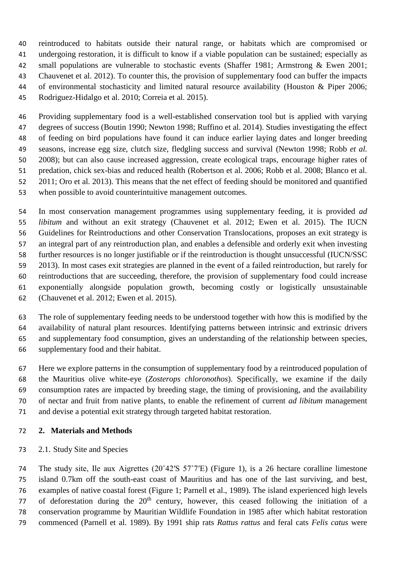reintroduced to habitats outside their natural range, or habitats which are compromised or undergoing restoration, it is difficult to know if a viable population can be sustained; especially as 42 small populations are vulnerable to stochastic events (Shaffer 1981; Armstrong & Ewen 2001; Chauvenet et al. 2012). To counter this, the provision of supplementary food can buffer the impacts of environmental stochasticity and limited natural resource availability (Houston & Piper 2006; Rodriguez-Hidalgo et al. 2010; Correia et al. 2015).

 Providing supplementary food is a well-established conservation tool but is applied with varying degrees of success (Boutin 1990; Newton 1998; Ruffino et al. 2014). Studies investigating the effect of feeding on bird populations have found it can induce earlier laying dates and longer breeding seasons, increase egg size, clutch size, fledgling success and survival (Newton 1998; Robb *et al.* 2008); but can also cause increased aggression, create ecological traps, encourage higher rates of predation, chick sex-bias and reduced health (Robertson et al. 2006; Robb et al. 2008; Blanco et al. 2011; Oro et al. 2013). This means that the net effect of feeding should be monitored and quantified when possible to avoid counterintuitive management outcomes.

 In most conservation management programmes using supplementary feeding, it is provided *ad libitum* and without an exit strategy (Chauvenet et al. 2012; Ewen et al. 2015). The IUCN Guidelines for Reintroductions and other Conservation Translocations, proposes an exit strategy is an integral part of any reintroduction plan, and enables a defensible and orderly exit when investing further resources is no longer justifiable or if the reintroduction is thought unsuccessful (IUCN/SSC 2013). In most cases exit strategies are planned in the event of a failed reintroduction, but rarely for reintroductions that are succeeding, therefore, the provision of supplementary food could increase exponentially alongside population growth, becoming costly or logistically unsustainable (Chauvenet et al. 2012; Ewen et al. 2015).

 The role of supplementary feeding needs to be understood together with how this is modified by the availability of natural plant resources. Identifying patterns between intrinsic and extrinsic drivers and supplementary food consumption, gives an understanding of the relationship between species, supplementary food and their habitat.

 Here we explore patterns in the consumption of supplementary food by a reintroduced population of the Mauritius olive white-eye (*Zosterops chloronothos*). Specifically, we examine if the daily consumption rates are impacted by breeding stage, the timing of provisioning, and the availability of nectar and fruit from native plants, to enable the refinement of current *ad libitum* management and devise a potential exit strategy through targeted habitat restoration.

## **2. Materials and Methods**

2.1. Study Site and Species

 The study site, Ile aux Aigrettes (20˚42′S 57˚7′E) (Figure 1), is a 26 hectare coralline limestone island 0.7km off the south-east coast of Mauritius and has one of the last surviving, and best, examples of native coastal forest (Figure 1; Parnell et al., 1989). The island experienced high levels 77 of deforestation during the  $20<sup>th</sup>$  century, however, this ceased following the initiation of a conservation programme by Mauritian Wildlife Foundation in 1985 after which habitat restoration commenced (Parnell et al. 1989). By 1991 ship rats *Rattus rattus* and feral cats *Felis catus* were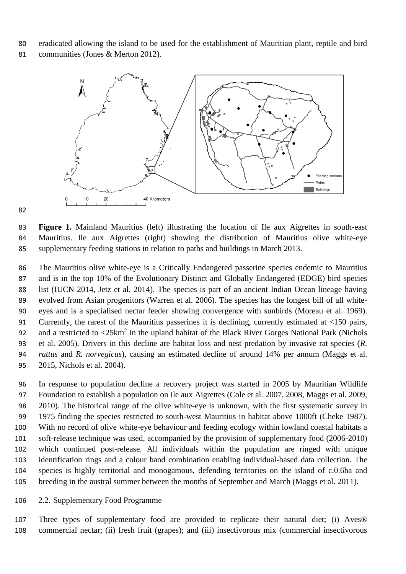eradicated allowing the island to be used for the establishment of Mauritian plant, reptile and bird

communities (Jones & Merton 2012).



 **Figure 1.** Mainland Mauritius (left) illustrating the location of Ile aux Aigrettes in south-east Mauritius. Ile aux Aigrettes (right) showing the distribution of Mauritius olive white-eye supplementary feeding stations in relation to paths and buildings in March 2013.

 The Mauritius olive white-eye is a Critically Endangered passerine species endemic to Mauritius and is in the top 10% of the Evolutionary Distinct and Globally Endangered (EDGE) bird species list (IUCN 2014, Jetz et al. 2014). The species is part of an ancient Indian Ocean lineage having evolved from Asian progenitors (Warren et al. 2006). The species has the longest bill of all white- eyes and is a specialised nectar feeder showing convergence with sunbirds (Moreau et al. 1969). Currently, the rarest of the Mauritius passerines it is declining, currently estimated at <150 pairs, 92 and a restricted to  $\langle 25 \text{km}^2$  in the upland habitat of the Black River Gorges National Park (Nichols et al. 2005). Drivers in this decline are habitat loss and nest predation by invasive rat species (*R. rattus* and *R. norvegicus*), causing an estimated decline of around 14% per annum (Maggs et al. 2015, Nichols et al. 2004).

 In response to population decline a recovery project was started in 2005 by Mauritian Wildlife Foundation to establish a population on Ile aux Aigrettes (Cole et al. 2007, 2008, Maggs et al. 2009, 2010). The historical range of the olive white-eye is unknown, with the first systematic survey in 1975 finding the species restricted to south-west Mauritius in habitat above 1000ft (Cheke 1987). With no record of olive white-eye behaviour and feeding ecology within lowland coastal habitats a soft-release technique was used, accompanied by the provision of supplementary food (2006-2010) which continued post-release. All individuals within the population are ringed with unique identification rings and a colour band combination enabling individual-based data collection. The species is highly territorial and monogamous, defending territories on the island of c.0.6ha and breeding in the austral summer between the months of September and March (Maggs et al. 2011).

#### 2.2. Supplementary Food Programme

 Three types of supplementary food are provided to replicate their natural diet; (i) Aves® commercial nectar; (ii) fresh fruit (grapes); and (iii) insectivorous mix (commercial insectivorous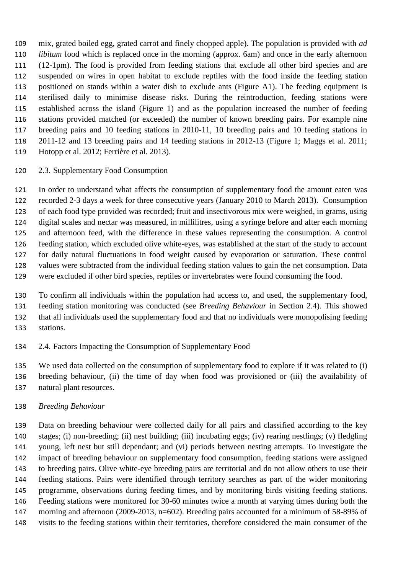mix, grated boiled egg, grated carrot and finely chopped apple). The population is provided with *ad libitum* food which is replaced once in the morning (approx. 6am) and once in the early afternoon (12-1pm). The food is provided from feeding stations that exclude all other bird species and are suspended on wires in open habitat to exclude reptiles with the food inside the feeding station positioned on stands within a water dish to exclude ants (Figure A1). The feeding equipment is sterilised daily to minimise disease risks. During the reintroduction, feeding stations were established across the island (Figure 1) and as the population increased the number of feeding stations provided matched (or exceeded) the number of known breeding pairs. For example nine breeding pairs and 10 feeding stations in 2010-11, 10 breeding pairs and 10 feeding stations in 2011-12 and 13 breeding pairs and 14 feeding stations in 2012-13 (Figure 1; Maggs et al. 2011; Hotopp et al. 2012; Ferrière et al. 2013).

## 2.3. Supplementary Food Consumption

 In order to understand what affects the consumption of supplementary food the amount eaten was recorded 2-3 days a week for three consecutive years (January 2010 to March 2013). Consumption of each food type provided was recorded; fruit and insectivorous mix were weighed, in grams, using digital scales and nectar was measured, in millilitres, using a syringe before and after each morning and afternoon feed, with the difference in these values representing the consumption. A control feeding station, which excluded olive white-eyes, was established at the start of the study to account for daily natural fluctuations in food weight caused by evaporation or saturation. These control values were subtracted from the individual feeding station values to gain the net consumption. Data were excluded if other bird species, reptiles or invertebrates were found consuming the food.

 To confirm all individuals within the population had access to, and used, the supplementary food, feeding station monitoring was conducted (see *Breeding Behaviour* in Section 2.4). This showed that all individuals used the supplementary food and that no individuals were monopolising feeding stations.

2.4. Factors Impacting the Consumption of Supplementary Food

 We used data collected on the consumption of supplementary food to explore if it was related to (i) breeding behaviour, (ii) the time of day when food was provisioned or (iii) the availability of natural plant resources.

## *Breeding Behaviour*

 Data on breeding behaviour were collected daily for all pairs and classified according to the key stages; (i) non-breeding; (ii) nest building; (iii) incubating eggs; (iv) rearing nestlings; (v) fledgling young, left nest but still dependant; and (vi) periods between nesting attempts. To investigate the impact of breeding behaviour on supplementary food consumption, feeding stations were assigned to breeding pairs. Olive white-eye breeding pairs are territorial and do not allow others to use their feeding stations. Pairs were identified through territory searches as part of the wider monitoring programme, observations during feeding times, and by monitoring birds visiting feeding stations. Feeding stations were monitored for 30-60 minutes twice a month at varying times during both the morning and afternoon (2009-2013, n=602). Breeding pairs accounted for a minimum of 58-89% of visits to the feeding stations within their territories, therefore considered the main consumer of the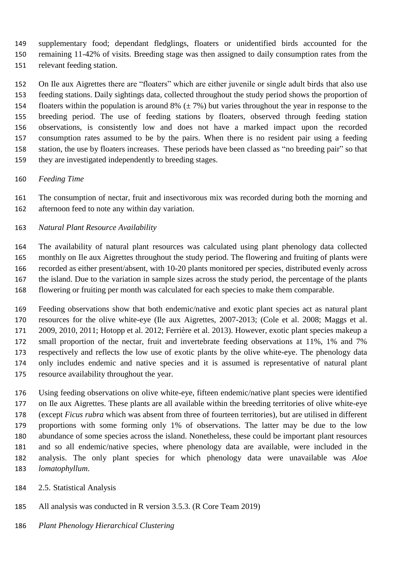supplementary food; dependant fledglings, floaters or unidentified birds accounted for the remaining 11-42% of visits. Breeding stage was then assigned to daily consumption rates from the relevant feeding station.

 On Ile aux Aigrettes there are "floaters" which are either juvenile or single adult birds that also use feeding stations. Daily sightings data, collected throughout the study period shows the proportion of 154 floaters within the population is around 8%  $(\pm 7\%)$  but varies throughout the year in response to the breeding period. The use of feeding stations by floaters, observed through feeding station observations, is consistently low and does not have a marked impact upon the recorded consumption rates assumed to be by the pairs. When there is no resident pair using a feeding station, the use by floaters increases. These periods have been classed as "no breeding pair" so that they are investigated independently to breeding stages.

*Feeding Time*

 The consumption of nectar, fruit and insectivorous mix was recorded during both the morning and afternoon feed to note any within day variation.

*Natural Plant Resource Availability* 

 The availability of natural plant resources was calculated using plant phenology data collected monthly on Ile aux Aigrettes throughout the study period. The flowering and fruiting of plants were recorded as either present/absent, with 10-20 plants monitored per species, distributed evenly across the island. Due to the variation in sample sizes across the study period, the percentage of the plants flowering or fruiting per month was calculated for each species to make them comparable.

 Feeding observations show that both endemic/native and exotic plant species act as natural plant resources for the olive white-eye (Ile aux Aigrettes, 2007-2013; (Cole et al. 2008; Maggs et al. 2009, 2010, 2011; Hotopp et al. 2012; Ferrière et al. 2013). However, exotic plant species makeup a small proportion of the nectar, fruit and invertebrate feeding observations at 11%, 1% and 7% respectively and reflects the low use of exotic plants by the olive white-eye. The phenology data only includes endemic and native species and it is assumed is representative of natural plant resource availability throughout the year.

 Using feeding observations on olive white-eye, fifteen endemic/native plant species were identified on Ile aux Aigrettes. These plants are all available within the breeding territories of olive white-eye (except *Ficus rubra* which was absent from three of fourteen territories), but are utilised in different proportions with some forming only 1% of observations. The latter may be due to the low abundance of some species across the island. Nonetheless, these could be important plant resources and so all endemic/native species, where phenology data are available, were included in the analysis. The only plant species for which phenology data were unavailable was *Aloe lomatophyllum*.

- 2.5. Statistical Analysis
- All analysis was conducted in R version 3.5.3. (R Core Team 2019)
- *Plant Phenology Hierarchical Clustering*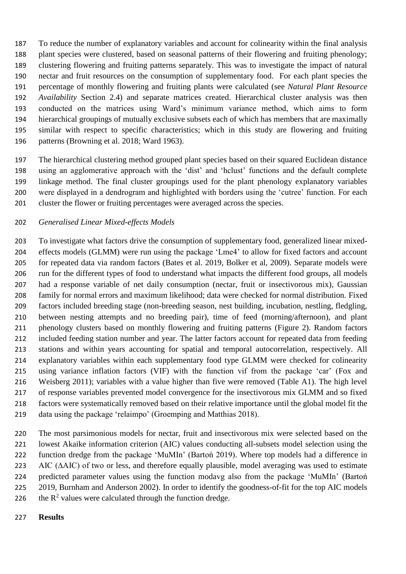To reduce the number of explanatory variables and account for colinearity within the final analysis plant species were clustered, based on seasonal patterns of their flowering and fruiting phenology; clustering flowering and fruiting patterns separately. This was to investigate the impact of natural nectar and fruit resources on the consumption of supplementary food. For each plant species the percentage of monthly flowering and fruiting plants were calculated (see *Natural Plant Resource Availability* Section 2.4) and separate matrices created. Hierarchical cluster analysis was then conducted on the matrices using Ward's minimum variance method, which aims to form hierarchical groupings of mutually exclusive subsets each of which has members that are maximally similar with respect to specific characteristics; which in this study are flowering and fruiting patterns (Browning et al. 2018; Ward 1963).

 The hierarchical clustering method grouped plant species based on their squared Euclidean distance using an agglomerative approach with the 'dist' and 'hclust' functions and the default complete linkage method. The final cluster groupings used for the plant phenology explanatory variables were displayed in a dendrogram and highlighted with borders using the 'cutree' function. For each cluster the flower or fruiting percentages were averaged across the species.

## *Generalised Linear Mixed-effects Models*

 To investigate what factors drive the consumption of supplementary food, generalized linear mixed- effects models (GLMM) were run using the package 'Lme4' to allow for fixed factors and account for repeated data via random factors (Bates et al. 2019, Bolker et al, 2009). Separate models were run for the different types of food to understand what impacts the different food groups, all models had a response variable of net daily consumption (nectar, fruit or insectivorous mix), Gaussian family for normal errors and maximum likelihood; data were checked for normal distribution. Fixed factors included breeding stage (non-breeding season, nest building, incubation, nestling, fledgling, between nesting attempts and no breeding pair), time of feed (morning/afternoon), and plant phenology clusters based on monthly flowering and fruiting patterns (Figure 2). Random factors included feeding station number and year. The latter factors account for repeated data from feeding stations and within years accounting for spatial and temporal autocorrelation, respectively. All explanatory variables within each supplementary food type GLMM were checked for colinearity using variance inflation factors (VIF) with the function vif from the package 'car' (Fox and Weisberg 2011); variables with a value higher than five were removed (Table A1). The high level of response variables prevented model convergence for the insectivorous mix GLMM and so fixed factors were systematically removed based on their relative importance until the global model fit the data using the package 'relaimpo' (Groemping and Matthias 2018).

 The most parsimonious models for nectar, fruit and insectivorous mix were selected based on the lowest Akaike information criterion (AIC) values conducting all-subsets model selection using the function dredge from the package 'MuMIn' (Bartoń 2019). Where top models had a difference in AIC (∆AIC) of two or less, and therefore equally plausible, model averaging was used to estimate predicted parameter values using the function modavg also from the package 'MuMIn' (Bartoń 2019, Burnham and Anderson 2002). In order to identify the goodness-of-fit for the top AIC models 226 the  $R^2$  values were calculated through the function dredge.

#### **Results**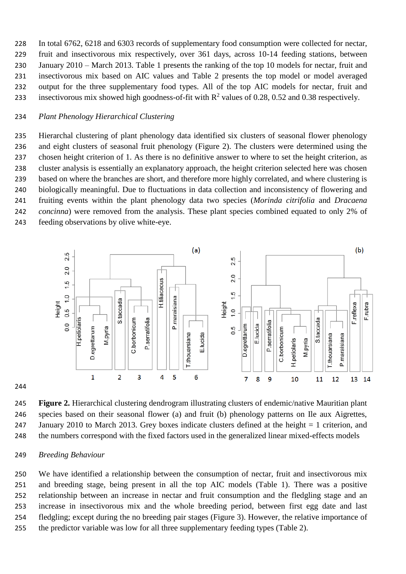In total 6762, 6218 and 6303 records of supplementary food consumption were collected for nectar, fruit and insectivorous mix respectively, over 361 days, across 10-14 feeding stations, between January 2010 – March 2013. Table 1 presents the ranking of the top 10 models for nectar, fruit and insectivorous mix based on AIC values and Table 2 presents the top model or model averaged output for the three supplementary food types. All of the top AIC models for nectar, fruit and 233 insectivorous mix showed high goodness-of-fit with  $\mathbb{R}^2$  values of 0.28, 0.52 and 0.38 respectively.

#### *Plant Phenology Hierarchical Clustering*

 Hierarchal clustering of plant phenology data identified six clusters of seasonal flower phenology and eight clusters of seasonal fruit phenology (Figure 2). The clusters were determined using the chosen height criterion of 1. As there is no definitive answer to where to set the height criterion, as cluster analysis is essentially an explanatory approach, the height criterion selected here was chosen based on where the branches are short, and therefore more highly correlated, and where clustering is biologically meaningful. Due to fluctuations in data collection and inconsistency of flowering and fruiting events within the plant phenology data two species (*Morinda citrifolia* and *Dracaena concinna*) were removed from the analysis. These plant species combined equated to only 2% of feeding observations by olive white-eye.



#### 

 **Figure 2.** Hierarchical clustering dendrogram illustrating clusters of endemic/native Mauritian plant species based on their seasonal flower (a) and fruit (b) phenology patterns on Ile aux Aigrettes, January 2010 to March 2013. Grey boxes indicate clusters defined at the height = 1 criterion, and the numbers correspond with the fixed factors used in the generalized linear mixed-effects models

#### *Breeding Behaviour*

 We have identified a relationship between the consumption of nectar, fruit and insectivorous mix and breeding stage, being present in all the top AIC models (Table 1). There was a positive relationship between an increase in nectar and fruit consumption and the fledgling stage and an increase in insectivorous mix and the whole breeding period, between first egg date and last fledgling; except during the no breeding pair stages (Figure 3). However, the relative importance of the predictor variable was low for all three supplementary feeding types (Table 2).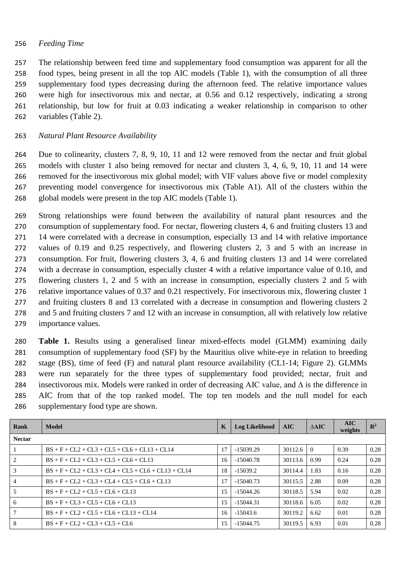### *Feeding Time*

 The relationship between feed time and supplementary food consumption was apparent for all the food types, being present in all the top AIC models (Table 1), with the consumption of all three supplementary food types decreasing during the afternoon feed. The relative importance values were high for insectivorous mix and nectar, at 0.56 and 0.12 respectively, indicating a strong relationship, but low for fruit at 0.03 indicating a weaker relationship in comparison to other variables (Table 2).

## *Natural Plant Resource Availability*

 Due to colinearity, clusters 7, 8, 9, 10, 11 and 12 were removed from the nectar and fruit global models with cluster 1 also being removed for nectar and clusters 3, 4, 6, 9, 10, 11 and 14 were removed for the insectivorous mix global model; with VIF values above five or model complexity preventing model convergence for insectivorous mix (Table A1). All of the clusters within the global models were present in the top AIC models (Table 1).

 Strong relationships were found between the availability of natural plant resources and the consumption of supplementary food. For nectar, flowering clusters 4, 6 and fruiting clusters 13 and 14 were correlated with a decrease in consumption, especially 13 and 14 with relative importance values of 0.19 and 0.25 respectively, and flowering clusters 2, 3 and 5 with an increase in consumption. For fruit, flowering clusters 3, 4, 6 and fruiting clusters 13 and 14 were correlated with a decrease in consumption, especially cluster 4 with a relative importance value of 0.10, and flowering clusters 1, 2 and 5 with an increase in consumption, especially clusters 2 and 5 with relative importance values of 0.37 and 0.21 respectively. For insectivorous mix, flowering cluster 1 and fruiting clusters 8 and 13 correlated with a decrease in consumption and flowering clusters 2 and 5 and fruiting clusters 7 and 12 with an increase in consumption, all with relatively low relative importance values.

 **Table 1.** Results using a generalised linear mixed-effects model (GLMM) examining daily consumption of supplementary food (SF) by the Mauritius olive white-eye in relation to breeding stage (BS), time of feed (F) and natural plant resource availability (CL1-14; Figure 2). GLMMs were run separately for the three types of supplementary food provided; nectar, fruit and insectivorous mix. Models were ranked in order of decreasing AIC value, and ∆ is the difference in AIC from that of the top ranked model. The top ten models and the null model for each supplementary food type are shown.

| Rank           | Model                                                | K  | <b>Log Likelihood</b> | AIC     | $\triangle$ AIC | <b>AIC</b><br>weights | $\mathbb{R}^2$ |
|----------------|------------------------------------------------------|----|-----------------------|---------|-----------------|-----------------------|----------------|
| <b>Nectar</b>  |                                                      |    |                       |         |                 |                       |                |
|                | $BS + F + CL2 + CL3 + CL5 + CL6 + CL13 + CL14$       | 17 | $-15039.29$           | 30112.6 | $\Omega$        | 0.39                  | 0.28           |
| 2              | $BS + F + CL2 + CL3 + CL5 + CL6 + CL13$              | 16 | $-15040.78$           | 30113.6 | 0.99            | 0.24                  | 0.28           |
| 3              | $BS + F + CL2 + CL3 + CL4 + CL5 + CL6 + CL13 + CL14$ | 18 | $-15039.2$            | 30114.4 | 1.83            | 0.16                  | 0.28           |
| $\overline{4}$ | $BS + F + CL2 + CL3 + CL4 + CL5 + CL6 + CL13$        | 17 | $-15040.73$           | 30115.5 | 2.88            | 0.09                  | 0.28           |
| 5              | $BS + F + CL2 + CL5 + CL6 + CL13$                    | 15 | $-15044.26$           | 30118.5 | 5.94            | 0.02                  | 0.28           |
| 6              | $BS + F + CL3 + CL5 + CL6 + CL13$                    | 15 | $-15044.31$           | 30118.6 | 6.05            | 0.02                  | 0.28           |
|                | $BS + F + CL2 + CL5 + CL6 + CL13 + CL14$             | 16 | $-15043.6$            | 30119.2 | 6.62            | 0.01                  | 0.28           |
| 8              | $BS + F + CL2 + CL3 + CL5 + CL6$                     | 15 | $-15044.75$           | 30119.5 | 6.93            | 0.01                  | 0.28           |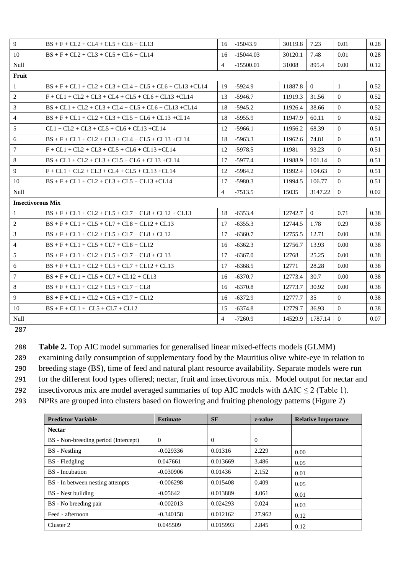| 9                        | $BS + F + CL2 + CL4 + CL5 + CL6 + CL13$                    | 16 <sup>1</sup> | $-15043.9$  | 30119.8 | 7.23           | 0.01         | 0.28 |
|--------------------------|------------------------------------------------------------|-----------------|-------------|---------|----------------|--------------|------|
| 10                       | $BS + F + CL2 + CL3 + CL5 + CL6 + CL14$                    | 16              | $-15044.03$ | 30120.1 | 7.48           | 0.01         | 0.28 |
| Null                     |                                                            | $\overline{4}$  | $-15500.01$ | 31008   | 895.4          | 0.00         | 0.12 |
| Fruit                    |                                                            |                 |             |         |                |              |      |
| $\mathbf{1}$             | $BS + F + CL1 + CL2 + CL3 + CL4 + CL5 + CL6 + CL13 + CL14$ | 19              | $-5924.9$   | 11887.8 | $\overline{0}$ | $\mathbf{1}$ | 0.52 |
| $\overline{2}$           | $F + CL1 + CL2 + CL3 + CL4 + CL5 + CL6 + CL13 + CL14$      | 13              | $-5946.7$   | 11919.3 | 31.56          | $\theta$     | 0.52 |
| 3                        | $BS + CL1 + CL2 + CL3 + CL4 + CL5 + CL6 + CL13 + CL14$     | 18              | $-5945.2$   | 11926.4 | 38.66          | $\theta$     | 0.52 |
| $\overline{4}$           | $BS + F + CL1 + CL2 + CL3 + CL5 + CL6 + CL13 + CL14$       | 18              | $-5955.9$   | 11947.9 | 60.11          | $\Omega$     | 0.52 |
| 5                        | $CL1 + CL2 + CL3 + CL5 + CL6 + CL13 + CL14$                | 12              | $-5966.1$   | 11956.2 | 68.39          | $\Omega$     | 0.51 |
| 6                        | $BS + F + CL1 + CL2 + CL3 + CL4 + CL5 + CL13 + CL14$       | 18              | $-5963.3$   | 11962.6 | 74.81          | $\theta$     | 0.51 |
| $\tau$                   | $F + CL1 + CL2 + CL3 + CL5 + CL6 + CL13 + CL14$            | 12              | $-5978.5$   | 11981   | 93.23          | $\theta$     | 0.51 |
| 8                        | $BS + CL1 + CL2 + CL3 + CL5 + CL6 + CL13 + CL14$           | 17              | $-5977.4$   | 11988.9 | 101.14         | $\Omega$     | 0.51 |
| 9                        | $F + CL1 + CL2 + CL3 + CL4 + CL5 + CL13 + CL14$            | 12              | $-5984.2$   | 11992.4 | 104.63         | $\Omega$     | 0.51 |
| 10                       | $BS + F + CL1 + CL2 + CL3 + CL5 + CL13 + CL14$             | 17              | $-5980.3$   | 11994.5 | 106.77         | $\Omega$     | 0.51 |
| Null                     |                                                            | $\overline{4}$  | $-7513.5$   | 15035   | 3147.22        | $\theta$     | 0.02 |
| <b>Insectivorous Mix</b> |                                                            |                 |             |         |                |              |      |
| $\mathbf{1}$             | $BS + F + CL1 + CL2 + CL5 + CL7 + CL8 + CL12 + CL13$       | 18              | $-6353.4$   | 12742.7 | $\Omega$       | 0.71         | 0.38 |
| 2                        | $BS + F + CL1 + CL5 + CL7 + CL8 + CL12 + CL13$             | 17              | $-6355.3$   | 12744.5 | 1.78           | 0.29         | 0.38 |
| 3                        | $BS + F + CL1 + CL2 + CL5 + CL7 + CL8 + CL12$              | 17              | $-6360.7$   | 12755.5 | 12.71          | 0.00         | 0.38 |
| $\overline{4}$           | $BS + F + CL1 + CL5 + CL7 + CL8 + CL12$                    | 16              | $-6362.3$   | 12756.7 | 13.93          | 0.00         | 0.38 |
| 5                        | $BS + F + CL1 + CL2 + CL5 + CL7 + CL8 + CL13$              | 17              | $-6367.0$   | 12768   | 25.25          | 0.00         | 0.38 |
| 6                        | $BS + F + CL1 + CL2 + CL5 + CL7 + CL12 + CL13$             | 17              | $-6368.5$   | 12771   | 28.28          | 0.00         | 0.38 |
| $\overline{7}$           | $BS + F + CL1 + CL5 + CL7 + CL12 + CL13$                   | 16              | $-6370.7$   | 12773.4 | 30.7           | 0.00         | 0.38 |
| 8                        | $BS + F + CL1 + CL2 + CL5 + CL7 + CL8$                     | 16              | $-6370.8$   | 12773.7 | 30.92          | 0.00         | 0.38 |
| 9                        | $BS + F + CL1 + CL2 + CL5 + CL7 + CL12$                    | 16              | $-6372.9$   | 12777.7 | 35             | $\theta$     | 0.38 |
| 10                       | $BS + F + CL1 + CL5 + CL7 + CL12$                          | 15              | $-6374.8$   | 12779.7 | 36.93          | $\theta$     | 0.38 |
| Null                     |                                                            | $\overline{4}$  | $-7260.9$   | 14529.9 | 1787.14        | $\Omega$     | 0.07 |

**Table 2.** Top AIC model summaries for generalised linear mixed-effects models (GLMM)

examining daily consumption of supplementary food by the Mauritius olive white-eye in relation to

breeding stage (BS), time of feed and natural plant resource availability. Separate models were run

for the different food types offered; nectar, fruit and insectivorous mix. Model output for nectar and

292 insectivorous mix are model averaged summaries of top AIC models with  $\triangle AIC \leq 2$  (Table 1).

NPRs are grouped into clusters based on flowering and fruiting phenology patterns (Figure 2)

| <b>Predictor Variable</b>            | <b>Estimate</b> | <b>SE</b> | z-value  | <b>Relative Importance</b> |
|--------------------------------------|-----------------|-----------|----------|----------------------------|
| <b>Nectar</b>                        |                 |           |          |                            |
| BS - Non-breeding period (Intercept) | $\Omega$        | $\Omega$  | $\Omega$ |                            |
| <b>BS</b> - Nestling                 | $-0.029336$     | 0.01316   | 2.229    | 0.00                       |
| BS - Fledgling                       | 0.047661        | 0.013669  | 3.486    | 0.05                       |
| BS - Incubation                      | $-0.030906$     | 0.01436   | 2.152    | 0.01                       |
| BS - In between nesting attempts     | $-0.006298$     | 0.015408  | 0.409    | 0.05                       |
| BS - Nest building                   | $-0.05642$      | 0.013889  | 4.061    | 0.01                       |
| BS - No breeding pair                | $-0.002013$     | 0.024293  | 0.024    | 0.03                       |
| Feed - afternoon                     | $-0.340158$     | 0.012162  | 27.962   | 0.12                       |
| Cluster 2                            | 0.045509        | 0.015993  | 2.845    | 0.12                       |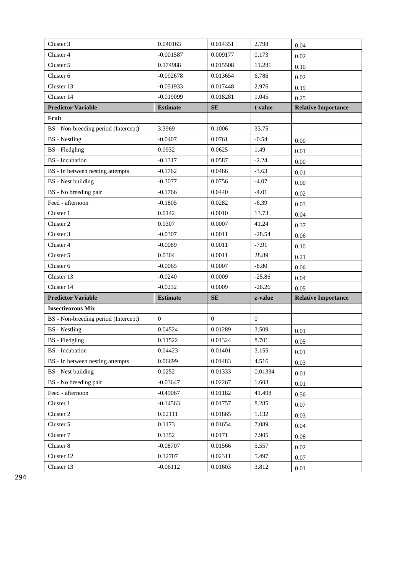| Cluster 3                            | 0.040163        | 0.014351     | 2.798        | 0.04                       |
|--------------------------------------|-----------------|--------------|--------------|----------------------------|
| Cluster 4                            | $-0.001587$     | 0.009177     | 0.173        | 0.02                       |
| Cluster 5                            | 0.174988        | 0.015508     | 11.281       | 0.10                       |
| Cluster 6                            | $-0.092678$     | 0.013654     | 6.786        | 0.02                       |
| Cluster 13                           | $-0.051933$     | 0.017448     | 2.976        | 0.19                       |
| Cluster 14                           | $-0.019099$     | 0.018281     | 1.045        | 0.25                       |
| <b>Predictor Variable</b>            | <b>Estimate</b> | SE           | t-value      | <b>Relative Importance</b> |
| Fruit                                |                 |              |              |                            |
| BS - Non-breeding period (Intercept) | 3.3969          | 0.1006       | 33.75        |                            |
| <b>BS</b> - Nestling                 | $-0.0407$       | 0.0761       | $-0.54$      | 0.00                       |
| <b>BS</b> - Fledgling                | 0.0932          | 0.0625       | 1.49         | 0.01                       |
| <b>BS</b> - Incubation               | $-0.1317$       | 0.0587       | $-2.24$      | 0.00                       |
| BS - In between nesting attempts     | $-0.1762$       | 0.0486       | $-3.63$      | 0.01                       |
| <b>BS</b> - Nest building            | $-0.3077$       | 0.0756       | $-4.07$      | 0.00                       |
| BS - No breeding pair                | $-0.1766$       | 0.0440       | $-4.01$      | 0.02                       |
| Feed - afternoon                     | $-0.1805$       | 0.0282       | $-6.39$      | 0.03                       |
| Cluster 1                            | 0.0142          | 0.0010       | 13.73        | 0.04                       |
| Cluster 2                            | 0.0307          | 0.0007       | 41.24        | 0.37                       |
| Cluster 3                            | $-0.0307$       | 0.0011       | $-28.54$     | 0.06                       |
| Cluster 4                            | $-0.0089$       | 0.0011       | $-7.91$      | 0.10                       |
| Cluster 5                            | 0.0304          | 0.0011       | 28.89        | 0.21                       |
| Cluster 6                            | $-0.0065$       | 0.0007       | $-8.80$      | 0.06                       |
| Cluster 13                           | $-0.0240$       | 0.0009       | $-25.86$     | 0.04                       |
| Cluster 14                           | $-0.0232$       | 0.0009       | $-26.26$     | 0.05                       |
| <b>Predictor Variable</b>            | <b>Estimate</b> | SE           | z-value      | <b>Relative Importance</b> |
| <b>Insectivorous Mix</b>             |                 |              |              |                            |
| BS - Non-breeding period (Intercept) | $\mathbf{0}$    | $\mathbf{0}$ | $\mathbf{0}$ |                            |
| <b>BS</b> - Nestling                 | 0.04524         | 0.01289      | 3.509        | 0.01                       |
| <b>BS</b> - Fledgling                | 0.11522         | 0.01324      | 8.701        | 0.05                       |
| <b>BS</b> - Incubation               | 0.04423         | 0.01401      | 3.155        | 0.01                       |
| BS - In between nesting attempts     | 0.06699         | 0.01483      | 4.516        | 0.03                       |
| <b>BS</b> - Nest building            | 0.0252          | 0.01333      | 0.01334      | 0.01                       |
| BS - No breeding pair                | $-0.03647$      | 0.02267      | 1.608        | 0.01                       |
| Feed - afternoon                     | $-0.49067$      | 0.01182      | 41.498       | 0.56                       |
| Cluster 1                            | $-0.14563$      | 0.01757      | 8.285        | 0.07                       |
| Cluster 2                            | 0.02111         | 0.01865      | 1.132        | 0.03                       |
| Cluster 5                            | 0.1173          | 0.01654      | 7.089        | 0.04                       |
| Cluster 7                            | 0.1352          | 0.0171       | 7.905        | 0.08                       |
| Cluster 8                            | $-0.08707$      | 0.01566      | 5.557        | 0.02                       |
| Cluster 12                           | 0.12707         | 0.02311      | 5.497        | 0.07                       |
| Cluster 13                           | $-0.06112$      | 0.01603      | 3.812        | 0.01                       |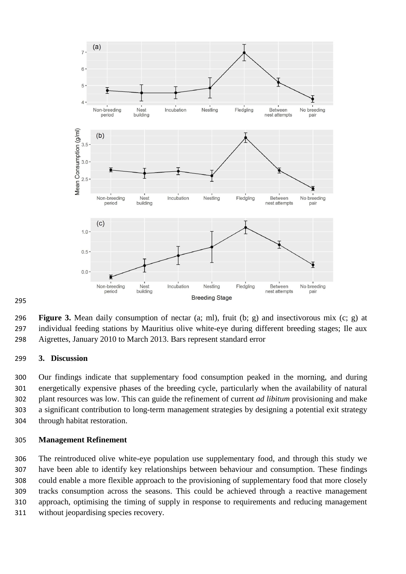

 **Figure 3.** Mean daily consumption of nectar (a; ml), fruit (b; g) and insectivorous mix (c; g) at individual feeding stations by Mauritius olive white-eye during different breeding stages; Ile aux Aigrettes, January 2010 to March 2013. Bars represent standard error

#### **3. Discussion**

 Our findings indicate that supplementary food consumption peaked in the morning, and during energetically expensive phases of the breeding cycle, particularly when the availability of natural plant resources was low. This can guide the refinement of current *ad libitum* provisioning and make a significant contribution to long-term management strategies by designing a potential exit strategy through habitat restoration.

#### **Management Refinement**

 The reintroduced olive white-eye population use supplementary food, and through this study we have been able to identify key relationships between behaviour and consumption. These findings could enable a more flexible approach to the provisioning of supplementary food that more closely tracks consumption across the seasons. This could be achieved through a reactive management approach, optimising the timing of supply in response to requirements and reducing management without jeopardising species recovery.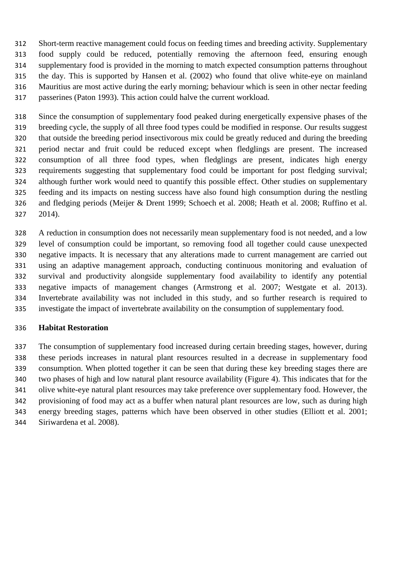Short-term reactive management could focus on feeding times and breeding activity. Supplementary food supply could be reduced, potentially removing the afternoon feed, ensuring enough supplementary food is provided in the morning to match expected consumption patterns throughout the day. This is supported by Hansen et al. (2002) who found that olive white-eye on mainland Mauritius are most active during the early morning; behaviour which is seen in other nectar feeding passerines (Paton 1993). This action could halve the current workload.

 Since the consumption of supplementary food peaked during energetically expensive phases of the breeding cycle, the supply of all three food types could be modified in response. Our results suggest that outside the breeding period insectivorous mix could be greatly reduced and during the breeding period nectar and fruit could be reduced except when fledglings are present. The increased consumption of all three food types, when fledglings are present, indicates high energy requirements suggesting that supplementary food could be important for post fledging survival; although further work would need to quantify this possible effect. Other studies on supplementary feeding and its impacts on nesting success have also found high consumption during the nestling and fledging periods (Meijer & Drent 1999; Schoech et al. 2008; Heath et al. 2008; Ruffino et al. 2014).

 A reduction in consumption does not necessarily mean supplementary food is not needed, and a low level of consumption could be important, so removing food all together could cause unexpected negative impacts. It is necessary that any alterations made to current management are carried out using an adaptive management approach, conducting continuous monitoring and evaluation of survival and productivity alongside supplementary food availability to identify any potential negative impacts of management changes (Armstrong et al. 2007; Westgate et al. 2013). Invertebrate availability was not included in this study, and so further research is required to investigate the impact of invertebrate availability on the consumption of supplementary food.

### **Habitat Restoration**

 The consumption of supplementary food increased during certain breeding stages, however, during these periods increases in natural plant resources resulted in a decrease in supplementary food consumption. When plotted together it can be seen that during these key breeding stages there are two phases of high and low natural plant resource availability (Figure 4). This indicates that for the olive white-eye natural plant resources may take preference over supplementary food. However, the provisioning of food may act as a buffer when natural plant resources are low, such as during high energy breeding stages, patterns which have been observed in other studies (Elliott et al. 2001; Siriwardena et al. 2008).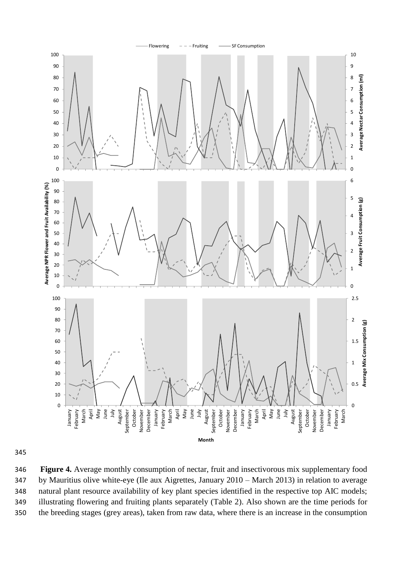

 **Figure 4.** Average monthly consumption of nectar, fruit and insectivorous mix supplementary food by Mauritius olive white-eye (Ile aux Aigrettes, January 2010 – March 2013) in relation to average natural plant resource availability of key plant species identified in the respective top AIC models; illustrating flowering and fruiting plants separately (Table 2). Also shown are the time periods for the breeding stages (grey areas), taken from raw data, where there is an increase in the consumption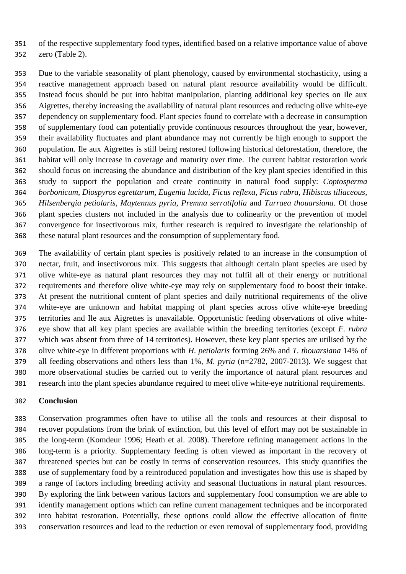of the respective supplementary food types, identified based on a relative importance value of above

zero (Table 2).

 Due to the variable seasonality of plant phenology, caused by environmental stochasticity, using a reactive management approach based on natural plant resource availability would be difficult. Instead focus should be put into habitat manipulation, planting additional key species on Ile aux Aigrettes, thereby increasing the availability of natural plant resources and reducing olive white-eye dependency on supplementary food. Plant species found to correlate with a decrease in consumption of supplementary food can potentially provide continuous resources throughout the year, however, their availability fluctuates and plant abundance may not currently be high enough to support the population. Ile aux Aigrettes is still being restored following historical deforestation, therefore, the habitat will only increase in coverage and maturity over time. The current habitat restoration work should focus on increasing the abundance and distribution of the key plant species identified in this study to support the population and create continuity in natural food supply: *Coptosperma borbonicum, Diospyros egrettarum, Eugenia lucida, Ficus reflexa, Ficus rubra, Hibiscus tiliaceous, Hilsenbergia petiolaris, Maytennus pyria, Premna serratifolia* and *Turraea thouarsiana.* Of those plant species clusters not included in the analysis due to colinearity or the prevention of model convergence for insectivorous mix, further research is required to investigate the relationship of these natural plant resources and the consumption of supplementary food.

 The availability of certain plant species is positively related to an increase in the consumption of nectar, fruit, and insectivorous mix. This suggests that although certain plant species are used by olive white-eye as natural plant resources they may not fulfil all of their energy or nutritional requirements and therefore olive white-eye may rely on supplementary food to boost their intake. At present the nutritional content of plant species and daily nutritional requirements of the olive white-eye are unknown and habitat mapping of plant species across olive white-eye breeding territories and Ile aux Aigrettes is unavailable. Opportunistic feeding observations of olive white- eye show that all key plant species are available within the breeding territories (except *F. rubra* which was absent from three of 14 territories). However, these key plant species are utilised by the olive white-eye in different proportions with *H. petiolaris* forming 26% and *T. thouarsiana* 14% of all feeding observations and others less than 1%, *M. pyria* (n=2782, 2007-2013)*.* We suggest that more observational studies be carried out to verify the importance of natural plant resources and research into the plant species abundance required to meet olive white-eye nutritional requirements.

## **Conclusion**

 Conservation programmes often have to utilise all the tools and resources at their disposal to recover populations from the brink of extinction, but this level of effort may not be sustainable in the long-term (Komdeur 1996; Heath et al. 2008). Therefore refining management actions in the long-term is a priority. Supplementary feeding is often viewed as important in the recovery of threatened species but can be costly in terms of conservation resources. This study quantifies the use of supplementary food by a reintroduced population and investigates how this use is shaped by a range of factors including breeding activity and seasonal fluctuations in natural plant resources. By exploring the link between various factors and supplementary food consumption we are able to identify management options which can refine current management techniques and be incorporated into habitat restoration. Potentially, these options could allow the effective allocation of finite conservation resources and lead to the reduction or even removal of supplementary food, providing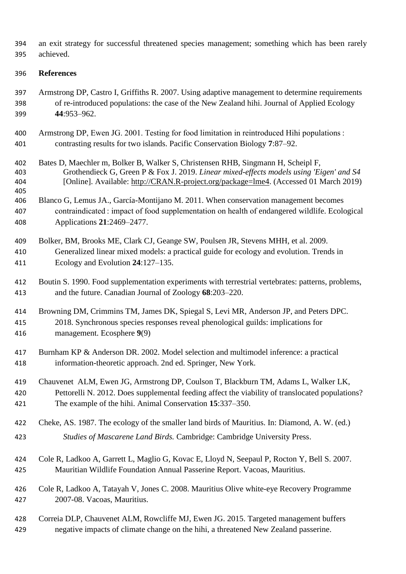an exit strategy for successful threatened species management; something which has been rarely achieved.

### **References**

- Armstrong DP, Castro I, Griffiths R. 2007. Using adaptive management to determine requirements of re-introduced populations: the case of the New Zealand hihi. Journal of Applied Ecology **44**:953–962.
- Armstrong DP, Ewen JG. 2001. Testing for food limitation in reintroduced Hihi populations : contrasting results for two islands. Pacific Conservation Biology **7**:87–92.
- Bates D, Maechler m, Bolker B, Walker S, Christensen RHB, Singmann H, Scheipl F, Grothendieck G, Green P & Fox J. 2019. *Linear mixed-effects models using 'Eigen' and S4*  [Online]. Available: [http://CRAN.R-project.org/package=lme4.](http://cran.r-project.org/package=lme4) (Accessed 01 March 2019)
- Blanco G, Lemus JA., García-Montijano M. 2011. When conservation management becomes contraindicated : impact of food supplementation on health of endangered wildlife. Ecological Applications **21**:2469–2477.

# Bolker, BM, Brooks ME, Clark CJ, Geange SW, Poulsen JR, Stevens MHH, et al. 2009. Generalized linear mixed models: a practical guide for ecology and evolution. Trends in Ecology and Evolution **24**:127–135.

 Boutin S. 1990. Food supplementation experiments with terrestrial vertebrates: patterns, problems, and the future. Canadian Journal of Zoology **68**:203–220.

# Browning DM, Crimmins TM, James DK, Spiegal S, Levi MR, Anderson JP, and Peters DPC. 2018. Synchronous species responses reveal phenological guilds: implications for management. Ecosphere **9**(9)

- Burnham KP & Anderson DR. 2002. Model selection and multimodel inference: a practical information-theoretic approach. 2nd ed. Springer, New York.
- Chauvenet ALM, Ewen JG, Armstrong DP, Coulson T, Blackburn TM, Adams L, Walker LK, Pettorelli N. 2012. Does supplemental feeding affect the viability of translocated populations? The example of the hihi. Animal Conservation **15**:337–350.
- Cheke, AS. 1987. The ecology of the smaller land birds of Mauritius. In: Diamond, A. W. (ed.) *Studies of Mascarene Land Birds.* Cambridge: Cambridge University Press.
- Cole R, Ladkoo A, Garrett L, Maglio G, Kovac E, Lloyd N, Seepaul P, Rocton Y, Bell S. 2007. Mauritian Wildlife Foundation Annual Passerine Report. Vacoas, Mauritius.
- Cole R, Ladkoo A, Tatayah V, Jones C. 2008. Mauritius Olive white-eye Recovery Programme 2007-08. Vacoas, Mauritius.

# Correia DLP, Chauvenet ALM, Rowcliffe MJ, Ewen JG. 2015. Targeted management buffers negative impacts of climate change on the hihi, a threatened New Zealand passerine.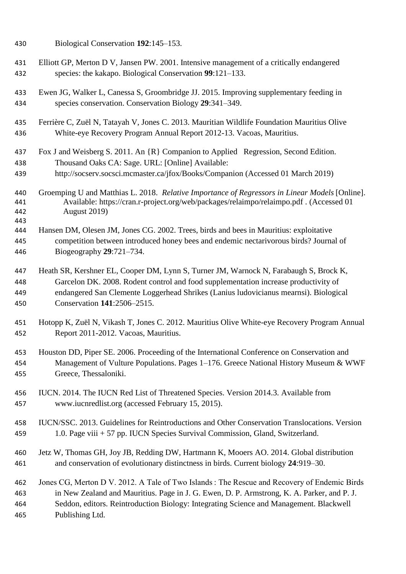| 430                      | Biological Conservation 192:145-153.                                                                                                                                                                      |
|--------------------------|-----------------------------------------------------------------------------------------------------------------------------------------------------------------------------------------------------------|
| 431                      | Elliott GP, Merton D V, Jansen PW. 2001. Intensive management of a critically endangered                                                                                                                  |
| 432                      | species: the kakapo. Biological Conservation 99:121-133.                                                                                                                                                  |
| 433                      | Ewen JG, Walker L, Canessa S, Groombridge JJ. 2015. Improving supplementary feeding in                                                                                                                    |
| 434                      | species conservation. Conservation Biology 29:341-349.                                                                                                                                                    |
| 435                      | Ferrière C, Zuël N, Tatayah V, Jones C. 2013. Mauritian Wildlife Foundation Mauritius Olive                                                                                                               |
| 436                      | White-eye Recovery Program Annual Report 2012-13. Vacoas, Mauritius.                                                                                                                                      |
| 437                      | Fox J and Weisberg S. 2011. An {R} Companion to Applied Regression, Second Edition.                                                                                                                       |
| 438                      | Thousand Oaks CA: Sage. URL: [Online] Available:                                                                                                                                                          |
| 439                      | http://socserv.socsci.mcmaster.ca/jfox/Books/Companion (Accessed 01 March 2019)                                                                                                                           |
| 440<br>441<br>442<br>443 | Groemping U and Matthias L. 2018. Relative Importance of Regressors in Linear Models [Online].<br>Available: https://cran.r-project.org/web/packages/relaimpo/relaimpo.pdf . (Accessed 01<br>August 2019) |
| 444                      | Hansen DM, Olesen JM, Jones CG. 2002. Trees, birds and bees in Mauritius: exploitative                                                                                                                    |
| 445                      | competition between introduced honey bees and endemic nectarivorous birds? Journal of                                                                                                                     |
| 446                      | Biogeography $29:721-734$ .                                                                                                                                                                               |
| 447                      | Heath SR, Kershner EL, Cooper DM, Lynn S, Turner JM, Warnock N, Farabaugh S, Brock K,                                                                                                                     |
| 448                      | Garcelon DK. 2008. Rodent control and food supplementation increase productivity of                                                                                                                       |
| 449                      | endangered San Clemente Loggerhead Shrikes (Lanius ludovicianus mearnsi). Biological                                                                                                                      |
| 450                      | Conservation 141:2506-2515.                                                                                                                                                                               |
| 451                      | Hotopp K, Zuël N, Vikash T, Jones C. 2012. Mauritius Olive White-eye Recovery Program Annual                                                                                                              |
| 452                      | Report 2011-2012. Vacoas, Mauritius.                                                                                                                                                                      |
| 453                      | Houston DD, Piper SE. 2006. Proceeding of the International Conference on Conservation and                                                                                                                |
| 454                      | Management of Vulture Populations. Pages 1-176. Greece National History Museum & WWF                                                                                                                      |
| 455                      | Greece, Thessaloniki.                                                                                                                                                                                     |
| 456                      | IUCN. 2014. The IUCN Red List of Threatened Species. Version 2014.3. Available from                                                                                                                       |
| 457                      | www.iucnredlist.org (accessed February 15, 2015).                                                                                                                                                         |
| 458                      | IUCN/SSC. 2013. Guidelines for Reintroductions and Other Conservation Translocations. Version                                                                                                             |
| 459                      | 1.0. Page viii + 57 pp. IUCN Species Survival Commission, Gland, Switzerland.                                                                                                                             |
| 460                      | Jetz W, Thomas GH, Joy JB, Redding DW, Hartmann K, Mooers AO. 2014. Global distribution                                                                                                                   |
| 461                      | and conservation of evolutionary distinctness in birds. Current biology 24:919-30.                                                                                                                        |
| 462                      | Jones CG, Merton D V. 2012. A Tale of Two Islands: The Rescue and Recovery of Endemic Birds                                                                                                               |
| 463                      | in New Zealand and Mauritius. Page in J. G. Ewen, D. P. Armstrong, K. A. Parker, and P. J.                                                                                                                |
| 464                      | Seddon, editors. Reintroduction Biology: Integrating Science and Management. Blackwell                                                                                                                    |
| 465                      | Publishing Ltd.                                                                                                                                                                                           |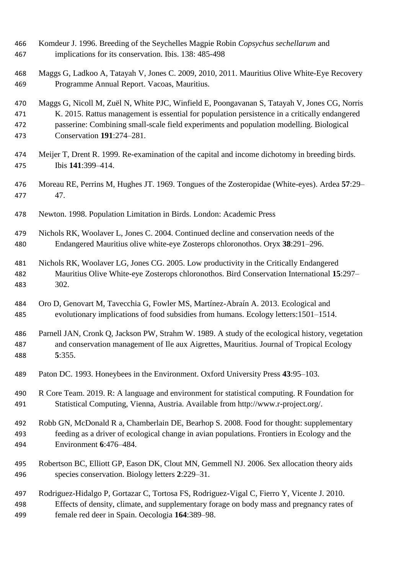| 466 | Komdeur J. 1996. Breeding of the Seychelles Magpie Robin Copsychus sechellarum and              |
|-----|-------------------------------------------------------------------------------------------------|
| 467 | implications for its conservation. Ibis. 138: 485-498                                           |
| 468 | Maggs G, Ladkoo A, Tatayah V, Jones C. 2009, 2010, 2011. Mauritius Olive White-Eye Recovery     |
| 469 | Programme Annual Report. Vacoas, Mauritius.                                                     |
| 470 | Maggs G, Nicoll M, Zuël N, White PJC, Winfield E, Poongavanan S, Tatayah V, Jones CG, Norris    |
| 471 | K. 2015. Rattus management is essential for population persistence in a critically endangered   |
| 472 | passerine: Combining small-scale field experiments and population modelling. Biological         |
| 473 | Conservation 191:274-281.                                                                       |
| 474 | Meijer T, Drent R. 1999. Re-examination of the capital and income dichotomy in breeding birds.  |
| 475 | Ibis 141:399-414.                                                                               |
| 476 | Moreau RE, Perrins M, Hughes JT. 1969. Tongues of the Zosteropidae (White-eyes). Ardea 57:29–   |
| 477 | 47.                                                                                             |
| 478 | Newton. 1998. Population Limitation in Birds. London: Academic Press                            |
| 479 | Nichols RK, Woolaver L, Jones C. 2004. Continued decline and conservation needs of the          |
| 480 | Endangered Mauritius olive white-eye Zosterops chloronothos. Oryx 38:291-296.                   |
| 481 | Nichols RK, Woolaver LG, Jones CG. 2005. Low productivity in the Critically Endangered          |
| 482 | Mauritius Olive White-eye Zosterops chloronothos. Bird Conservation International 15:297-       |
| 483 | 302.                                                                                            |
| 484 | Oro D, Genovart M, Tavecchia G, Fowler MS, Martínez-Abraín A. 2013. Ecological and              |
| 485 | evolutionary implications of food subsidies from humans. Ecology letters: 1501-1514.            |
| 486 | Parnell JAN, Cronk Q, Jackson PW, Strahm W. 1989. A study of the ecological history, vegetation |
| 487 | and conservation management of Ile aux Aigrettes, Mauritius. Journal of Tropical Ecology        |
| 488 | 5:355.                                                                                          |
| 489 | Paton DC. 1993. Honeybees in the Environment. Oxford University Press 43:95–103.                |
| 490 | R Core Team. 2019. R: A language and environment for statistical computing. R Foundation for    |
| 491 | Statistical Computing, Vienna, Austria. Available from http://www.r-project.org/.               |
| 492 | Robb GN, McDonald R a, Chamberlain DE, Bearhop S. 2008. Food for thought: supplementary         |
| 493 | feeding as a driver of ecological change in avian populations. Frontiers in Ecology and the     |
| 494 | Environment 6:476-484.                                                                          |
| 495 | Robertson BC, Elliott GP, Eason DK, Clout MN, Gemmell NJ. 2006. Sex allocation theory aids      |
| 496 | species conservation. Biology letters 2:229-31.                                                 |
| 497 | Rodriguez-Hidalgo P, Gortazar C, Tortosa FS, Rodriguez-Vigal C, Fierro Y, Vicente J. 2010.      |
| 498 | Effects of density, climate, and supplementary forage on body mass and pregnancy rates of       |
| 499 | female red deer in Spain. Oecologia 164:389-98.                                                 |